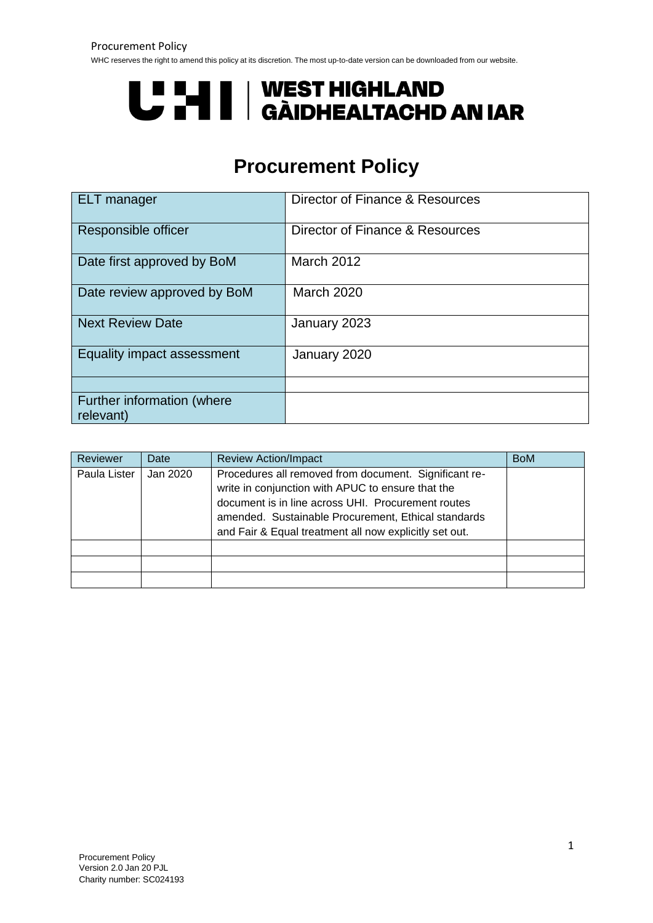# **U "HI | WEST HIGHLAND<br>U THI | GÀIDHEALTACHD AN IAR**

# **Procurement Policy**

| <b>ELT</b> manager                      | Director of Finance & Resources |
|-----------------------------------------|---------------------------------|
| Responsible officer                     | Director of Finance & Resources |
| Date first approved by BoM              | March 2012                      |
| Date review approved by BoM             | <b>March 2020</b>               |
| <b>Next Review Date</b>                 | January 2023                    |
| Equality impact assessment              | January 2020                    |
|                                         |                                 |
| Further information (where<br>relevant) |                                 |

| Reviewer     | Date     | <b>Review Action/Impact</b>                                                                                                                                                                                                                                                       | <b>BoM</b> |
|--------------|----------|-----------------------------------------------------------------------------------------------------------------------------------------------------------------------------------------------------------------------------------------------------------------------------------|------------|
| Paula Lister | Jan 2020 | Procedures all removed from document. Significant re-<br>write in conjunction with APUC to ensure that the<br>document is in line across UHI. Procurement routes<br>amended. Sustainable Procurement, Ethical standards<br>and Fair & Equal treatment all now explicitly set out. |            |
|              |          |                                                                                                                                                                                                                                                                                   |            |
|              |          |                                                                                                                                                                                                                                                                                   |            |
|              |          |                                                                                                                                                                                                                                                                                   |            |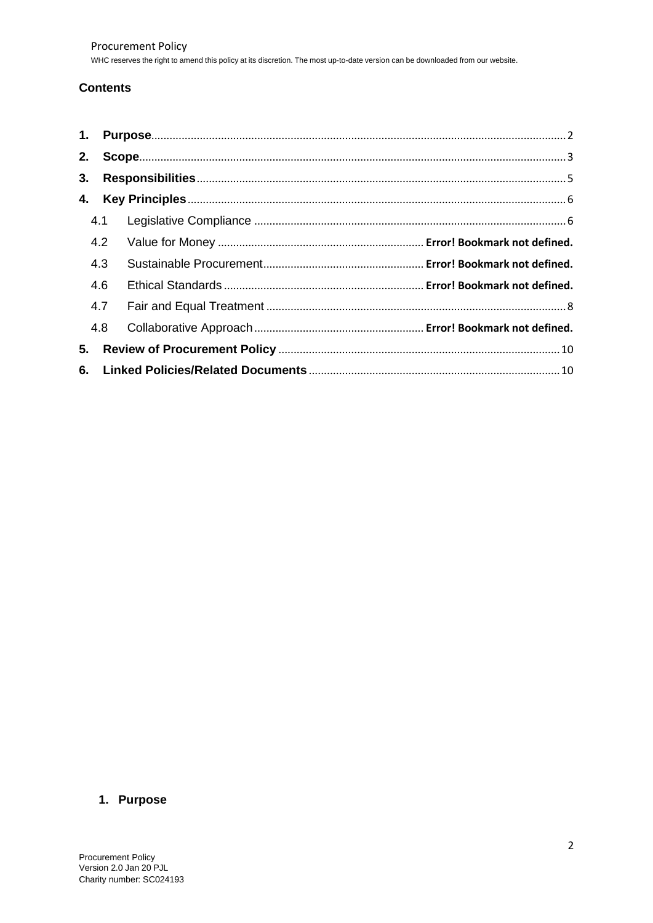# **Contents**

| 1. |     |  |
|----|-----|--|
| 2. |     |  |
| 3. |     |  |
| 4. |     |  |
|    | 4.1 |  |
|    | 4.2 |  |
|    | 4.3 |  |
|    | 4.6 |  |
|    | 4.7 |  |
|    | 4.8 |  |
| 5. |     |  |
|    |     |  |

# <span id="page-1-0"></span>**1. Purpose**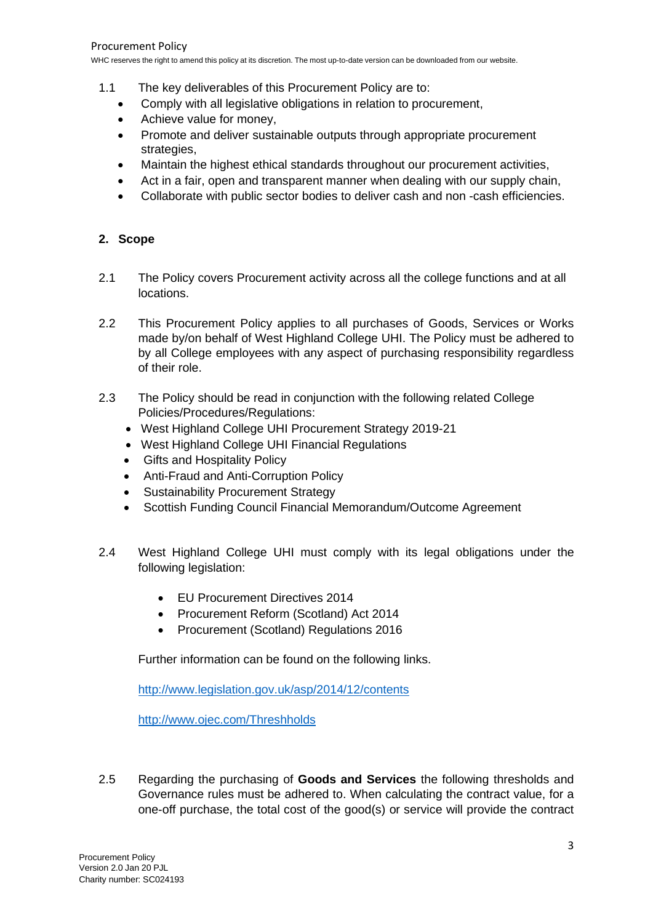- 1.1 The key deliverables of this Procurement Policy are to:
	- Comply with all legislative obligations in relation to procurement,
	- Achieve value for money.
	- Promote and deliver sustainable outputs through appropriate procurement strategies,
	- Maintain the highest ethical standards throughout our procurement activities,
	- Act in a fair, open and transparent manner when dealing with our supply chain,
	- Collaborate with public sector bodies to deliver cash and non -cash efficiencies.

## <span id="page-2-0"></span>**2. Scope**

- 2.1 The Policy covers Procurement activity across all the college functions and at all locations.
- 2.2 This Procurement Policy applies to all purchases of Goods, Services or Works made by/on behalf of West Highland College UHI. The Policy must be adhered to by all College employees with any aspect of purchasing responsibility regardless of their role.
- 2.3 The Policy should be read in conjunction with the following related College Policies/Procedures/Regulations:
	- West Highland College UHI Procurement Strategy 2019-21
	- West Highland College UHI Financial Regulations
	- Gifts and Hospitality Policy
	- Anti-Fraud and Anti-Corruption Policy
	- Sustainability Procurement Strategy
	- Scottish Funding Council Financial Memorandum/Outcome Agreement
- 2.4 West Highland College UHI must comply with its legal obligations under the following legislation:
	- EU Procurement Directives 2014
	- Procurement Reform (Scotland) Act 2014
	- Procurement (Scotland) Regulations 2016

Further information can be found on the following links.

<http://www.legislation.gov.uk/asp/2014/12/contents>

<http://www.ojec.com/Threshholds>

2.5 Regarding the purchasing of **Goods and Services** the following thresholds and Governance rules must be adhered to. When calculating the contract value, for a one-off purchase, the total cost of the good(s) or service will provide the contract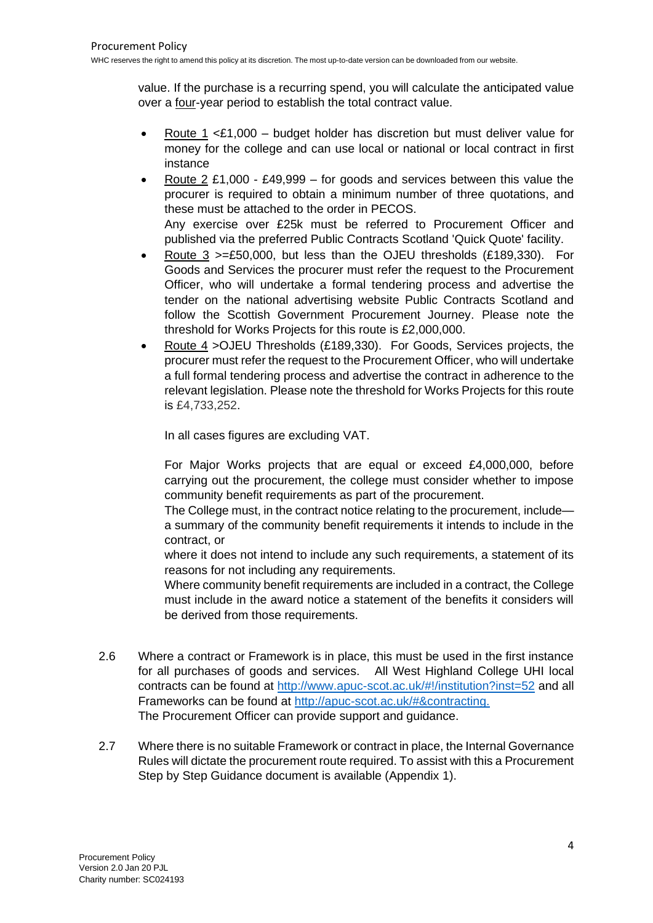value. If the purchase is a recurring spend, you will calculate the anticipated value over a four-year period to establish the total contract value.

- Route 1 < £1,000 budget holder has discretion but must deliver value for money for the college and can use local or national or local contract in first instance
- Route 2 £1,000 £49,999 for goods and services between this value the procurer is required to obtain a minimum number of three quotations, and these must be attached to the order in PECOS. Any exercise over £25k must be referred to Procurement Officer and published via the preferred Public Contracts Scotland 'Quick Quote' facility.
- Route 3 >=£50,000, but less than the OJEU thresholds (£189,330). For Goods and Services the procurer must refer the request to the Procurement Officer, who will undertake a formal tendering process and advertise the tender on the national advertising website Public Contracts Scotland and follow the Scottish Government Procurement Journey. Please note the threshold for Works Projects for this route is £2,000,000.
- Route 4 >OJEU Thresholds (£189,330). For Goods, Services projects, the procurer must refer the request to the Procurement Officer, who will undertake a full formal tendering process and advertise the contract in adherence to the relevant legislation. Please note the threshold for Works Projects for this route is £4,733,252.

In all cases figures are excluding VAT.

For Major Works projects that are equal or exceed £4,000,000, before carrying out the procurement, the college must consider whether to impose community benefit requirements as part of the procurement.

The College must, in the contract notice relating to the procurement, include a summary of the community benefit requirements it intends to include in the contract, or

where it does not intend to include any such requirements, a statement of its reasons for not including any requirements.

Where community benefit requirements are included in a contract, the College must include in the award notice a statement of the benefits it considers will be derived from those requirements.

- 2.6 Where a contract or Framework is in place, this must be used in the first instance for all purchases of goods and services. All West Highland College UHI local contracts can be found at<http://www.apuc-scot.ac.uk/#!/institution?inst=52> and all Frameworks can be found at [http://apuc-scot.ac.uk/#&contracting.](http://apuc-scot.ac.uk/#&contracting) The Procurement Officer can provide support and guidance.
- 2.7 Where there is no suitable Framework or contract in place, the Internal Governance Rules will dictate the procurement route required. To assist with this a Procurement Step by Step Guidance document is available (Appendix 1).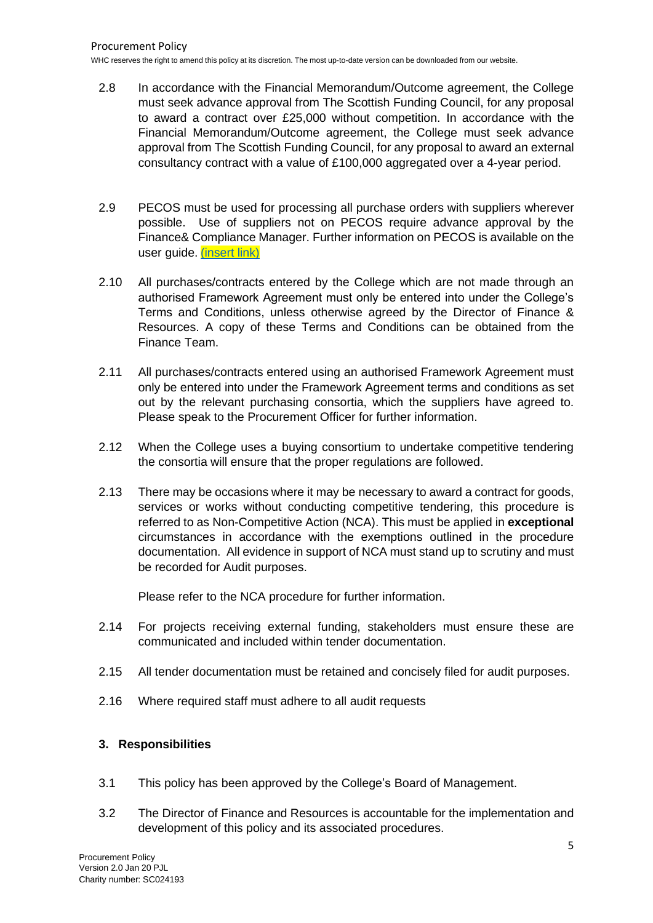- 2.8 In accordance with the Financial Memorandum/Outcome agreement, the College must seek advance approval from The Scottish Funding Council, for any proposal to award a contract over £25,000 without competition. In accordance with the Financial Memorandum/Outcome agreement, the College must seek advance approval from The Scottish Funding Council, for any proposal to award an external consultancy contract with a value of £100,000 aggregated over a 4-year period.
- 2.9 PECOS must be used for processing all purchase orders with suppliers wherever possible. Use of suppliers not on PECOS require advance approval by the Finance& Compliance Manager. Further information on PECOS is available on the user guide. (insert link)
- 2.10 All purchases/contracts entered by the College which are not made through an authorised Framework Agreement must only be entered into under the College's Terms and Conditions, unless otherwise agreed by the Director of Finance & Resources. A copy of these Terms and Conditions can be obtained from the Finance Team.
- 2.11 All purchases/contracts entered using an authorised Framework Agreement must only be entered into under the Framework Agreement terms and conditions as set out by the relevant purchasing consortia, which the suppliers have agreed to. Please speak to the Procurement Officer for further information.
- 2.12 When the College uses a buying consortium to undertake competitive tendering the consortia will ensure that the proper regulations are followed.
- 2.13 There may be occasions where it may be necessary to award a contract for goods, services or works without conducting competitive tendering, this procedure is referred to as Non-Competitive Action (NCA). This must be applied in **exceptional** circumstances in accordance with the exemptions outlined in the procedure documentation. All evidence in support of NCA must stand up to scrutiny and must be recorded for Audit purposes.

Please refer to the NCA procedure for further information.

- 2.14 For projects receiving external funding, stakeholders must ensure these are communicated and included within tender documentation.
- 2.15 All tender documentation must be retained and concisely filed for audit purposes.
- 2.16 Where required staff must adhere to all audit requests

## <span id="page-4-0"></span>**3. Responsibilities**

- 3.1 This policy has been approved by the College's Board of Management.
- 3.2 The Director of Finance and Resources is accountable for the implementation and development of this policy and its associated procedures.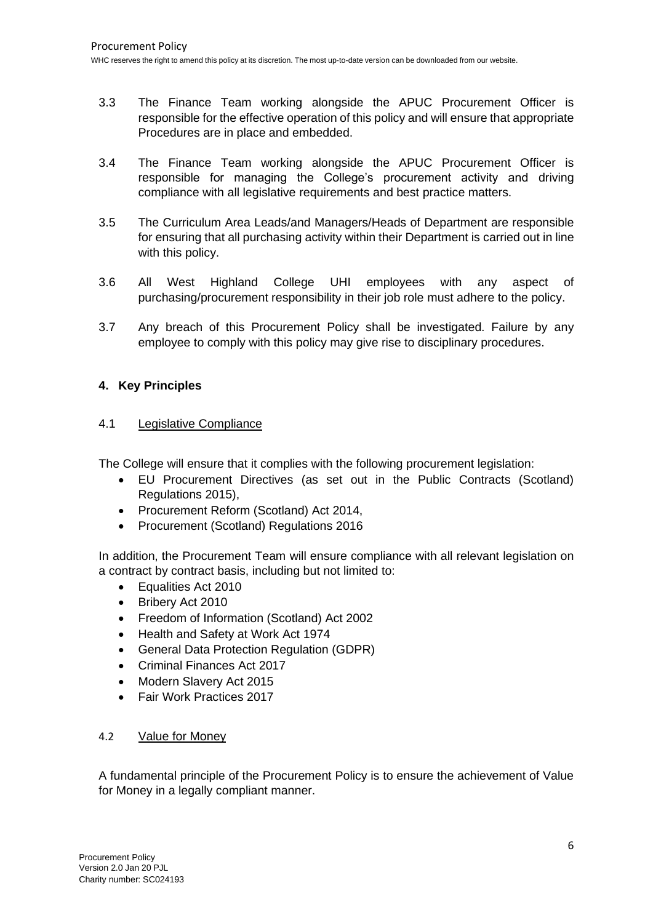- 3.3 The Finance Team working alongside the APUC Procurement Officer is responsible for the effective operation of this policy and will ensure that appropriate Procedures are in place and embedded.
- 3.4 The Finance Team working alongside the APUC Procurement Officer is responsible for managing the College's procurement activity and driving compliance with all legislative requirements and best practice matters.
- 3.5 The Curriculum Area Leads/and Managers/Heads of Department are responsible for ensuring that all purchasing activity within their Department is carried out in line with this policy.
- 3.6 All West Highland College UHI employees with any aspect of purchasing/procurement responsibility in their job role must adhere to the policy.
- 3.7 Any breach of this Procurement Policy shall be investigated. Failure by any employee to comply with this policy may give rise to disciplinary procedures.

## <span id="page-5-0"></span>**4. Key Principles**

## 4.1 Legislative Compliance

The College will ensure that it complies with the following procurement legislation:

- EU Procurement Directives (as set out in the Public Contracts (Scotland) Regulations 2015),
- Procurement Reform (Scotland) Act 2014,
- Procurement (Scotland) Regulations 2016

In addition, the Procurement Team will ensure compliance with all relevant legislation on a contract by contract basis, including but not limited to:

- Equalities Act 2010
- Bribery Act 2010
- Freedom of Information (Scotland) Act 2002
- Health and Safety at Work Act 1974
- General Data Protection Regulation (GDPR)
- Criminal Finances Act 2017
- Modern Slavery Act 2015
- Fair Work Practices 2017

## <span id="page-5-1"></span>4.2 Value for Money

A fundamental principle of the Procurement Policy is to ensure the achievement of Value for Money in a legally compliant manner.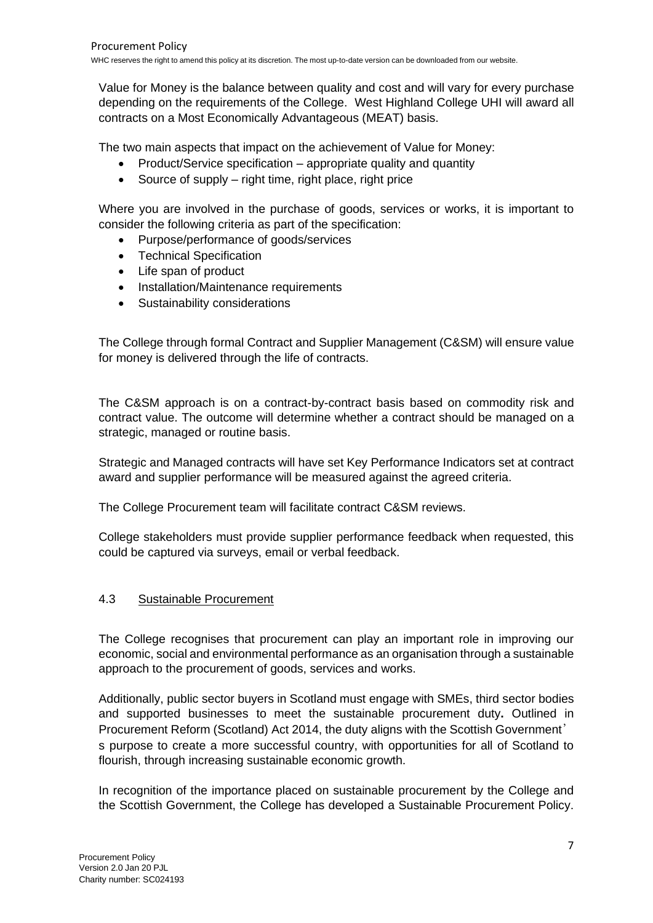Value for Money is the balance between quality and cost and will vary for every purchase depending on the requirements of the College. West Highland College UHI will award all contracts on a Most Economically Advantageous (MEAT) basis.

The two main aspects that impact on the achievement of Value for Money:

- Product/Service specification appropriate quality and quantity
- Source of supply right time, right place, right price

Where you are involved in the purchase of goods, services or works, it is important to consider the following criteria as part of the specification:

- Purpose/performance of goods/services
- Technical Specification
- Life span of product
- Installation/Maintenance requirements
- Sustainability considerations

The College through formal Contract and Supplier Management (C&SM) will ensure value for money is delivered through the life of contracts.

The C&SM approach is on a contract-by-contract basis based on commodity risk and contract value. The outcome will determine whether a contract should be managed on a strategic, managed or routine basis.

Strategic and Managed contracts will have set Key Performance Indicators set at contract award and supplier performance will be measured against the agreed criteria.

The College Procurement team will facilitate contract C&SM reviews.

College stakeholders must provide supplier performance feedback when requested, this could be captured via surveys, email or verbal feedback.

#### 4.3 Sustainable Procurement

The College recognises that procurement can play an important role in improving our economic, social and environmental performance as an organisation through a sustainable approach to the procurement of goods, services and works.

Additionally, public sector buyers in Scotland must engage with SMEs, third sector bodies and supported businesses to meet the sustainable [procurement](https://www.gov.scot/policies/public-sector-procurement/sustainable-procurement-duty/) duty**.** Outlined in Procurement Reform (Scotland) Act 2014, the duty aligns with the Scottish Government' s purpose to create a more successful country, with opportunities for all of Scotland to flourish, through increasing sustainable economic growth.

In recognition of the importance placed on sustainable procurement by the College and the Scottish Government, the College has developed a Sustainable Procurement Policy.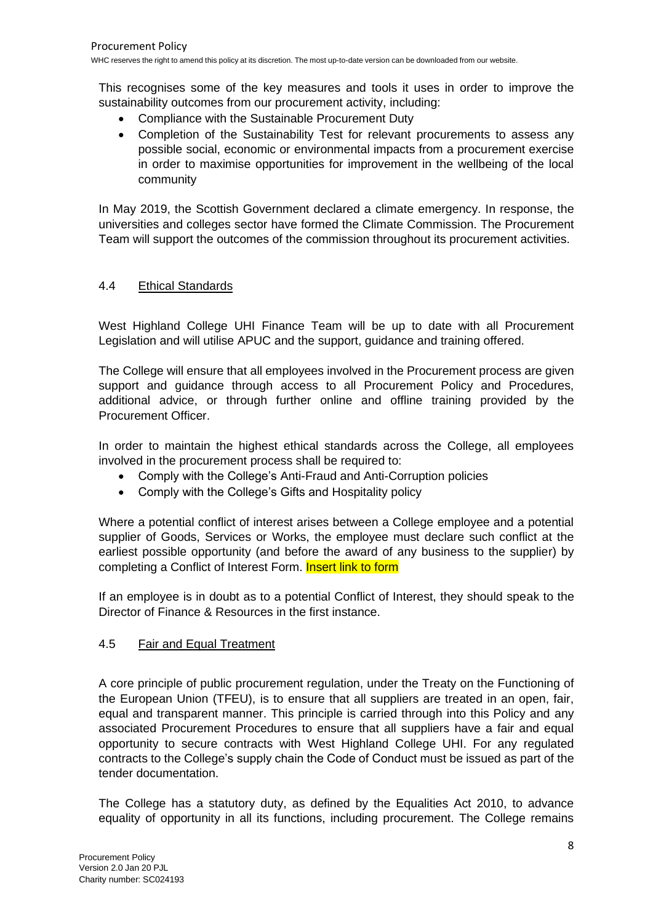This recognises some of the key measures and tools it uses in order to improve the sustainability outcomes from our procurement activity, including:

- Compliance with the Sustainable Procurement Duty
- Completion of the Sustainability Test for relevant procurements to assess any possible social, economic or environmental impacts from a procurement exercise in order to maximise opportunities for improvement in the wellbeing of the local community

In May 2019, the Scottish Government declared a climate emergency. In response, the universities and colleges sector have formed the Climate Commission. The Procurement Team will support the outcomes of the commission throughout its procurement activities.

#### 4.4 Ethical Standards

West Highland College UHI Finance Team will be up to date with all Procurement Legislation and will utilise APUC and the support, guidance and training offered.

The College will ensure that all employees involved in the Procurement process are given support and guidance through access to all Procurement Policy and Procedures, additional advice, or through further online and offline training provided by the Procurement Officer.

In order to maintain the highest ethical standards across the College, all employees involved in the procurement process shall be required to:

- Comply with the College's Anti-Fraud and Anti-Corruption policies
- Comply with the College's Gifts and Hospitality policy

Where a potential conflict of interest arises between a College employee and a potential supplier of Goods, Services or Works, the employee must declare such conflict at the earliest possible opportunity (and before the award of any business to the supplier) by completing a Conflict of Interest Form. Insert link to form

If an employee is in doubt as to a potential Conflict of Interest, they should speak to the Director of Finance & Resources in the first instance.

#### <span id="page-7-0"></span>4.5 Fair and Equal Treatment

A core principle of public procurement regulation, under the Treaty on the Functioning of the European Union (TFEU), is to ensure that all suppliers are treated in an open, fair, equal and transparent manner. This principle is carried through into this Policy and any associated Procurement Procedures to ensure that all suppliers have a fair and equal opportunity to secure contracts with West Highland College UHI. For any regulated contracts to the College's supply chain the Code of Conduct must be issued as part of the tender documentation.

The College has a statutory duty, as defined by the Equalities Act 2010, to advance equality of opportunity in all its functions, including procurement. The College remains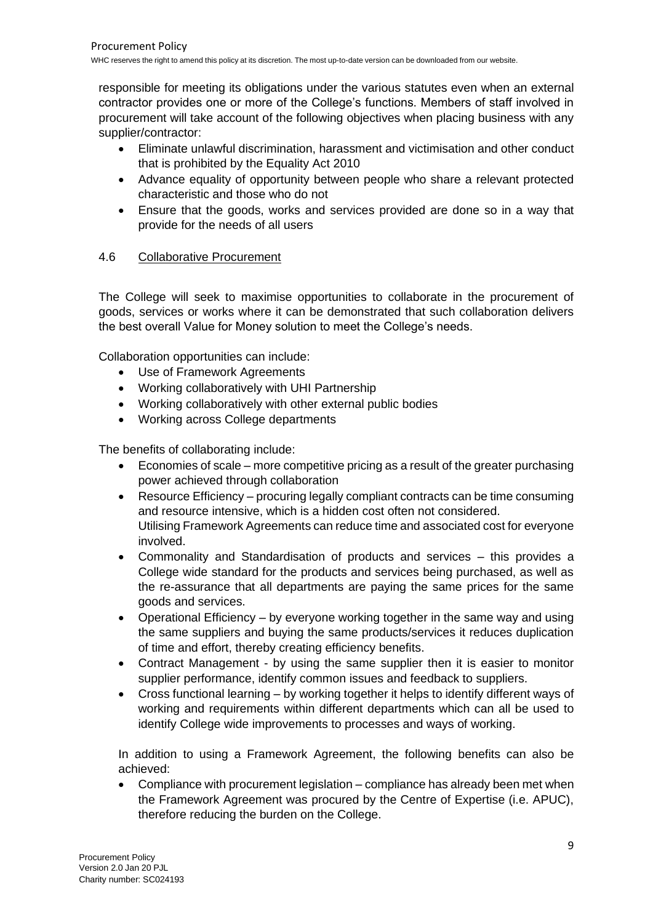responsible for meeting its obligations under the various statutes even when an external contractor provides one or more of the College's functions. Members of staff involved in procurement will take account of the following objectives when placing business with any supplier/contractor:

- Eliminate unlawful discrimination, harassment and victimisation and other conduct that is prohibited by the Equality Act 2010
- Advance equality of opportunity between people who share a relevant protected characteristic and those who do not
- Ensure that the goods, works and services provided are done so in a way that provide for the needs of all users

## 4.6 Collaborative Procurement

The College will seek to maximise opportunities to collaborate in the procurement of goods, services or works where it can be demonstrated that such collaboration delivers the best overall Value for Money solution to meet the College's needs.

Collaboration opportunities can include:

- Use of Framework Agreements
- Working collaboratively with UHI Partnership
- Working collaboratively with other external public bodies
- Working across College departments

The benefits of collaborating include:

- Economies of scale more competitive pricing as a result of the greater purchasing power achieved through collaboration
- Resource Efficiency procuring legally compliant contracts can be time consuming and resource intensive, which is a hidden cost often not considered. Utilising Framework Agreements can reduce time and associated cost for everyone involved.
- Commonality and Standardisation of products and services this provides a College wide standard for the products and services being purchased, as well as the re-assurance that all departments are paying the same prices for the same goods and services.
- Operational Efficiency by everyone working together in the same way and using the same suppliers and buying the same products/services it reduces duplication of time and effort, thereby creating efficiency benefits.
- Contract Management by using the same supplier then it is easier to monitor supplier performance, identify common issues and feedback to suppliers.
- Cross functional learning by working together it helps to identify different ways of working and requirements within different departments which can all be used to identify College wide improvements to processes and ways of working.

In addition to using a Framework Agreement, the following benefits can also be achieved:

• Compliance with procurement legislation – compliance has already been met when the Framework Agreement was procured by the Centre of Expertise (i.e. APUC), therefore reducing the burden on the College.